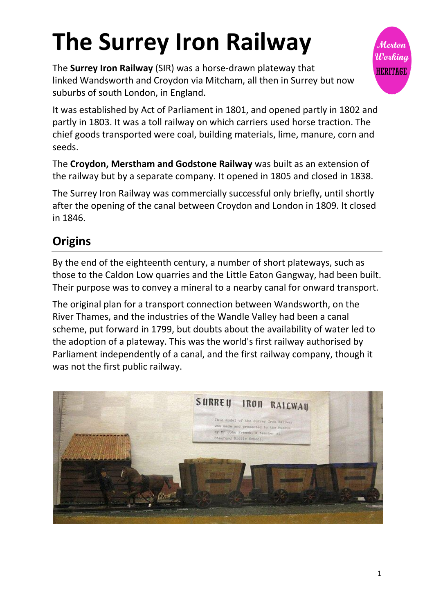# **The Surrey Iron Railway**

The **Surrey Iron Railway** (SIR) was a horse-drawn [plateway](https://en.wikipedia.org/wiki/Plateway) that linked [Wandsworth](https://en.wikipedia.org/wiki/Wandsworth) and [Croydon](https://en.wikipedia.org/wiki/Croydon) via [Mitcham,](https://en.wikipedia.org/wiki/Mitcham) all then in Surrey but now suburbs of south London, in England.



The **Croydon, Merstham and Godstone Railway** was built as an extension of the railway but by a separate company. It opened in 1805 and closed in 1838.

The Surrey Iron Railway was commercially successful only briefly, until shortly after the opening of the canal between Croydon and London in 1809. It closed in 1846.

## **Origins**

By the end of the eighteenth century, a number of short [plateways,](https://en.wikipedia.org/wiki/Waggonway) such as those to the Caldon Low quarries and the [Little Eaton Gangway,](https://en.wikipedia.org/wiki/Little_Eaton_Gangway) had been built. Their purpose was to convey a mineral to a nearby canal for onward transport.

The original plan for a transport connection between Wandsworth, on the River Thames, and the industries of the Wandle Valley had been a canal scheme, put forward in 1799, but doubts about the availability of water led to the adoption of a plateway. This was the world's first railway authorised by Parliament independently of a canal, and the first railway company, though it was not the first public railway.



Merton Working **HERITAGE**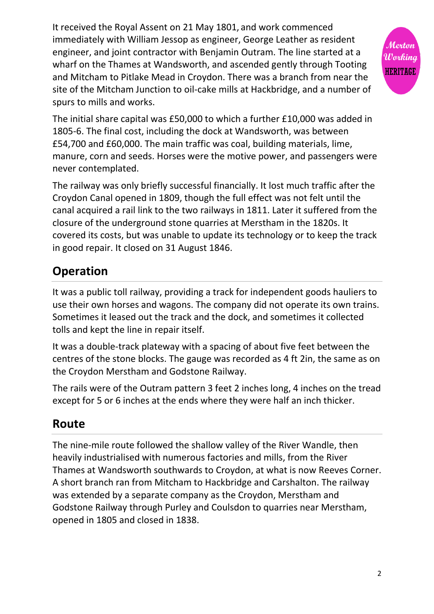It received the Royal Assent on 21 May 1801, and work commenced immediately with William Jessop as engineer, George Leather as resident engineer, and joint contractor with Benjamin Outram. The line started at a wharf on the Thames at Wandsworth, and ascended gently through Tooting and Mitcham to Pitlake Mead in Croydon. There was a branch from near the site of the Mitcham Junction to oil-cake mills at Hackbridge, and a number of spurs to mills and works.



The initial share capital was £50,000 to which a further £10,000 was added in 1805-6. The final cost, including the dock at Wandsworth, was between £54,700 and £60,000. The main traffic was coal, building materials, lime, manure, corn and seeds. Horses were the motive power, and passengers were never contemplated.

The railway was only briefly successful financially. It lost much traffic after the Croydon Canal opened in 1809, though the full effect was not felt until the canal acquired a rail link to the two railways in 1811. Later it suffered from the closure of the underground stone quarries at Merstham in the 1820s. It covered its costs, but was unable to update its technology or to keep the track in good repair. It closed on 31 August 1846.

# **Operation**

It was a public toll railway, providing a track for independent goods hauliers to use their own horses and wagons. The company did not operate its own trains. Sometimes it leased out the track and the dock, and sometimes it collected tolls and kept the line in repair itself.

It was a double-track plateway with a spacing of about five feet between the centres of the stone blocks. The gauge was recorded as 4 ft 2in, the same as on the Croydon Merstham and Godstone Railway.

The rails were of the Outram pattern 3 feet 2 inches long, 4 inches on the tread except for 5 or 6 inches at the ends where they were half an inch thicker.

#### **Route**

The nine-mile route followed the shallow valley of the [River Wandle,](https://en.wikipedia.org/wiki/River_Wandle) then heavily industrialised with numerous factories and mills, from the [River](https://en.wikipedia.org/wiki/River_Thames)  [Thames](https://en.wikipedia.org/wiki/River_Thames) at Wandsworth southwards to Croydon, at what is now [Reeves Corner.](https://en.wikipedia.org/wiki/Reeves_Corner) A short branch ran from Mitcham to [Hackbridge](https://en.wikipedia.org/wiki/Hackbridge) and [Carshalton.](https://en.wikipedia.org/wiki/Carshalton) The railway was extended by a separate company as the Croydon, Merstham and Godstone Railway through [Purley](https://en.wikipedia.org/wiki/Purley,_London) and [Coulsdon](https://en.wikipedia.org/wiki/Coulsdon) to quarries near [Merstham,](https://en.wikipedia.org/wiki/Merstham) opened in 1805 and closed in 1838.